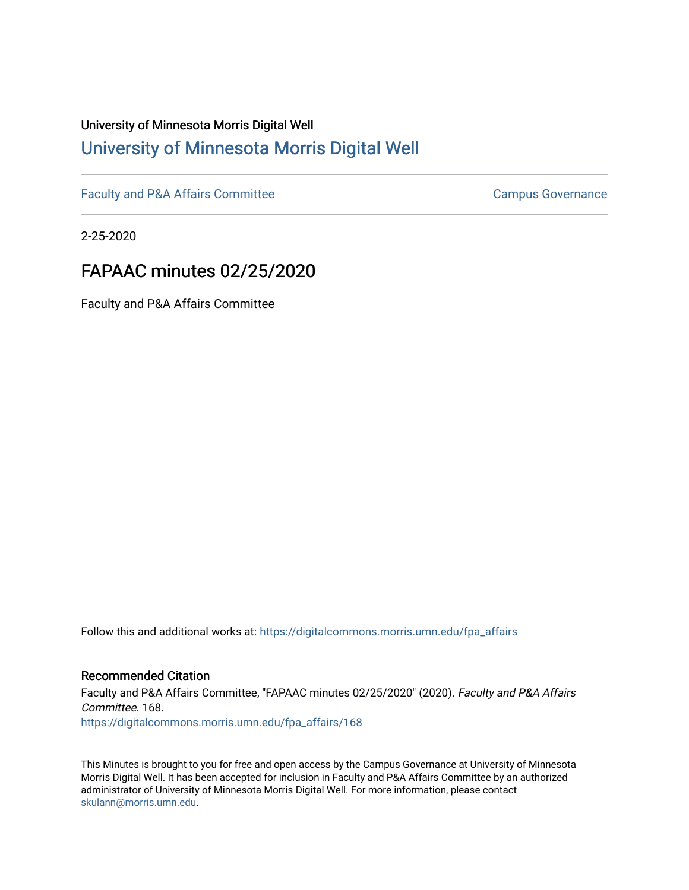# University of Minnesota Morris Digital Well [University of Minnesota Morris Digital Well](https://digitalcommons.morris.umn.edu/)

[Faculty and P&A Affairs Committee](https://digitalcommons.morris.umn.edu/fpa_affairs) [Campus Governance](https://digitalcommons.morris.umn.edu/campgov) Campus Governance

2-25-2020

# FAPAAC minutes 02/25/2020

Faculty and P&A Affairs Committee

Follow this and additional works at: [https://digitalcommons.morris.umn.edu/fpa\\_affairs](https://digitalcommons.morris.umn.edu/fpa_affairs?utm_source=digitalcommons.morris.umn.edu%2Ffpa_affairs%2F168&utm_medium=PDF&utm_campaign=PDFCoverPages)

## Recommended Citation

Faculty and P&A Affairs Committee, "FAPAAC minutes 02/25/2020" (2020). Faculty and P&A Affairs Committee. 168. [https://digitalcommons.morris.umn.edu/fpa\\_affairs/168](https://digitalcommons.morris.umn.edu/fpa_affairs/168?utm_source=digitalcommons.morris.umn.edu%2Ffpa_affairs%2F168&utm_medium=PDF&utm_campaign=PDFCoverPages)

This Minutes is brought to you for free and open access by the Campus Governance at University of Minnesota Morris Digital Well. It has been accepted for inclusion in Faculty and P&A Affairs Committee by an authorized administrator of University of Minnesota Morris Digital Well. For more information, please contact [skulann@morris.umn.edu.](mailto:skulann@morris.umn.edu)